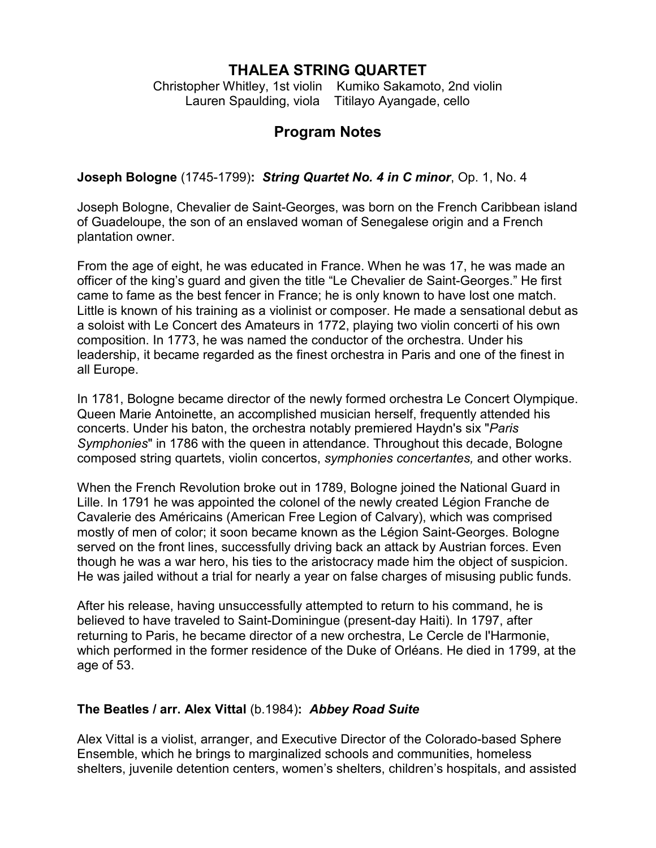## **THALEA STRING QUARTET**

Christopher Whitley, 1st violin Kumiko Sakamoto, 2nd violin Lauren Spaulding, viola Titilayo Ayangade, cello

# **Program Notes**

**Joseph Bologne** (1745-1799)**:** *String Quartet No. 4 in C minor*, Op. 1, No. 4

Joseph Bologne, Chevalier de Saint-Georges, was born on the French Caribbean island of Guadeloupe, the son of an enslaved woman of Senegalese origin and a French plantation owner.

From the age of eight, he was educated in France. When he was 17, he was made an officer of the king's guard and given the title "Le Chevalier de Saint-Georges." He first came to fame as the best fencer in France; he is only known to have lost one match. Little is known of his training as a violinist or composer. He made a sensational debut as a soloist with Le Concert des Amateurs in 1772, playing two violin concerti of his own composition. In 1773, he was named the conductor of the orchestra. Under his leadership, it became regarded as the finest orchestra in Paris and one of the finest in all Europe.

In 1781, Bologne became director of the newly formed orchestra Le Concert Olympique. Queen Marie Antoinette, an accomplished musician herself, frequently attended his concerts. Under his baton, the orchestra notably premiered Haydn's six "*Paris Symphonies*" in 1786 with the queen in attendance. Throughout this decade, Bologne composed string quartets, violin concertos, *symphonies concertantes,* and other works.

When the French Revolution broke out in 1789, Bologne joined the National Guard in Lille. In 1791 he was appointed the colonel of the newly created Légion Franche de Cavalerie des Américains (American Free Legion of Calvary), which was comprised mostly of men of color; it soon became known as the Légion Saint-Georges. Bologne served on the front lines, successfully driving back an attack by Austrian forces. Even though he was a war hero, his ties to the aristocracy made him the object of suspicion. He was jailed without a trial for nearly a year on false charges of misusing public funds.

After his release, having unsuccessfully attempted to return to his command, he is believed to have traveled to Saint-Dominingue (present-day Haiti). In 1797, after returning to Paris, he became director of a new orchestra, Le Cercle de l'Harmonie, which performed in the former residence of the Duke of Orléans. He died in 1799, at the age of 53.

### **The Beatles / arr. Alex Vittal** (b.1984)**:** *Abbey Road Suite*

Alex Vittal is a violist, arranger, and Executive Director of the Colorado-based Sphere Ensemble, which he brings to marginalized schools and communities, homeless shelters, juvenile detention centers, women's shelters, children's hospitals, and assisted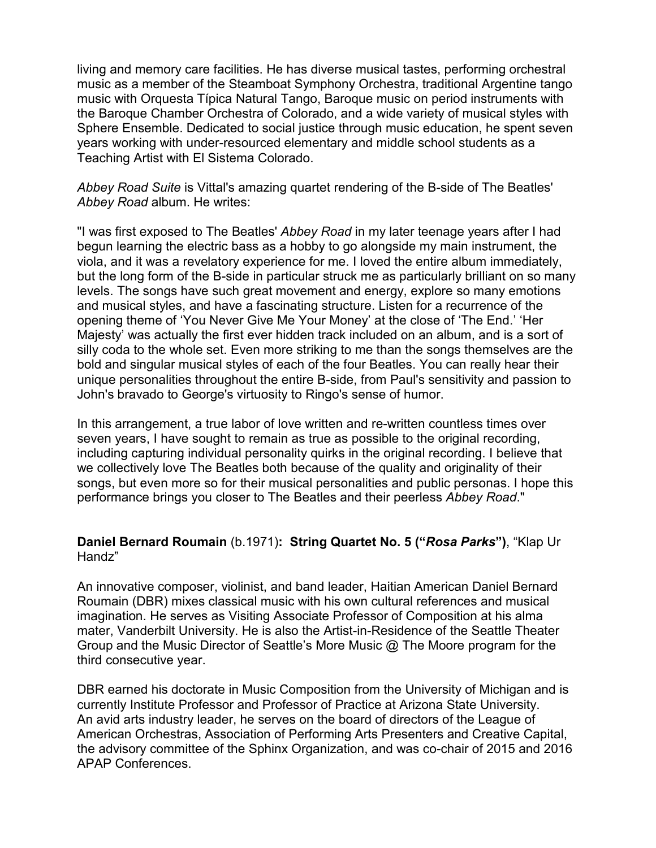living and memory care facilities. He has diverse musical tastes, performing orchestral music as a member of the Steamboat Symphony Orchestra, traditional Argentine tango music with Orquesta Típica Natural Tango, Baroque music on period instruments with the Baroque Chamber Orchestra of Colorado, and a wide variety of musical styles with Sphere Ensemble. Dedicated to social justice through music education, he spent seven years working with under-resourced elementary and middle school students as a Teaching Artist with El Sistema Colorado.

*Abbey Road Suite* is Vittal's amazing quartet rendering of the B-side of The Beatles' *Abbey Road* album. He writes:

"I was first exposed to The Beatles' *Abbey Road* in my later teenage years after I had begun learning the electric bass as a hobby to go alongside my main instrument, the viola, and it was a revelatory experience for me. I loved the entire album immediately, but the long form of the B-side in particular struck me as particularly brilliant on so many levels. The songs have such great movement and energy, explore so many emotions and musical styles, and have a fascinating structure. Listen for a recurrence of the opening theme of 'You Never Give Me Your Money' at the close of 'The End.' 'Her Majesty' was actually the first ever hidden track included on an album, and is a sort of silly coda to the whole set. Even more striking to me than the songs themselves are the bold and singular musical styles of each of the four Beatles. You can really hear their unique personalities throughout the entire B-side, from Paul's sensitivity and passion to John's bravado to George's virtuosity to Ringo's sense of humor.

In this arrangement, a true labor of love written and re-written countless times over seven years, I have sought to remain as true as possible to the original recording, including capturing individual personality quirks in the original recording. I believe that we collectively love The Beatles both because of the quality and originality of their songs, but even more so for their musical personalities and public personas. I hope this performance brings you closer to The Beatles and their peerless *Abbey Road*."

#### **Daniel Bernard Roumain** (b.1971)**: String Quartet No. 5 ("***Rosa Parks***")**, "Klap Ur Handz"

An innovative composer, violinist, and band leader, Haitian American Daniel Bernard Roumain (DBR) mixes classical music with his own cultural references and musical imagination. He serves as Visiting Associate Professor of Composition at his alma mater, Vanderbilt University. He is also the Artist-in-Residence of the Seattle Theater Group and the Music Director of Seattle's More Music @ The Moore program for the third consecutive year.

DBR earned his doctorate in Music Composition from the University of Michigan and is currently Institute Professor and Professor of Practice at Arizona State University. An avid arts industry leader, he serves on the board of directors of the League of American Orchestras, Association of Performing Arts Presenters and Creative Capital, the advisory committee of the Sphinx Organization, and was co-chair of 2015 and 2016 APAP Conferences.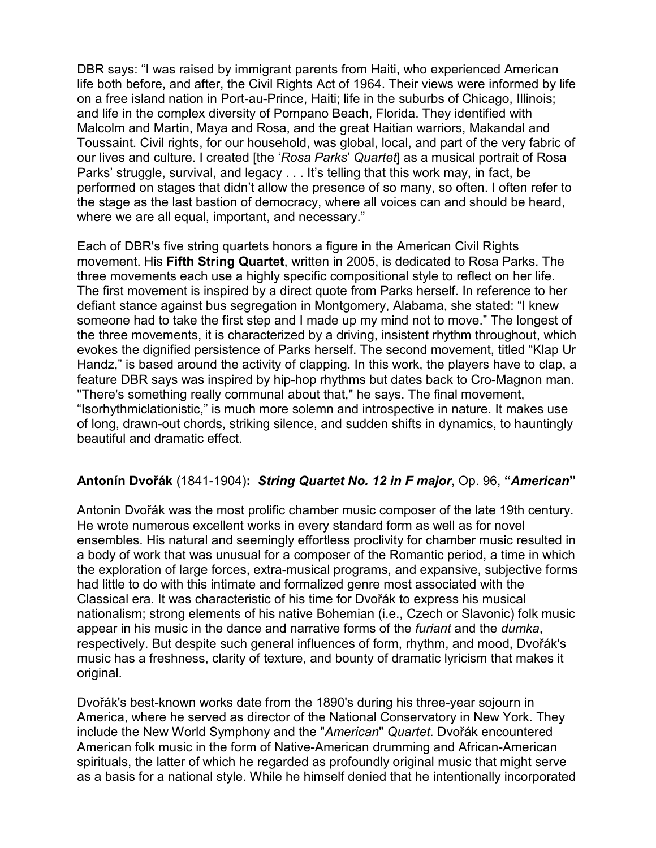DBR says: "I was raised by immigrant parents from Haiti, who experienced American life both before, and after, the Civil Rights Act of 1964. Their views were informed by life on a free island nation in Port-au-Prince, Haiti; life in the suburbs of Chicago, Illinois; and life in the complex diversity of Pompano Beach, Florida. They identified with Malcolm and Martin, Maya and Rosa, and the great Haitian warriors, Makandal and Toussaint. Civil rights, for our household, was global, local, and part of the very fabric of our lives and culture. I created [the '*Rosa Parks*' *Quartet*] as a musical portrait of Rosa Parks' struggle, survival, and legacy . . . It's telling that this work may, in fact, be performed on stages that didn't allow the presence of so many, so often. I often refer to the stage as the last bastion of democracy, where all voices can and should be heard, where we are all equal, important, and necessary."

Each of DBR's five string quartets honors a figure in the American Civil Rights movement. His **Fifth String Quartet**, written in 2005, is dedicated to Rosa Parks. The three movements each use a highly specific compositional style to reflect on her life. The first movement is inspired by a direct quote from Parks herself. In reference to her defiant stance against bus segregation in Montgomery, Alabama, she stated: "I knew someone had to take the first step and I made up my mind not to move." The longest of the three movements, it is characterized by a driving, insistent rhythm throughout, which evokes the dignified persistence of Parks herself. The second movement, titled "Klap Ur Handz," is based around the activity of clapping. In this work, the players have to clap, a feature DBR says was inspired by hip-hop rhythms but dates back to Cro-Magnon man. "There's something really communal about that," he says. The final movement, "Isorhythmiclationistic," is much more solemn and introspective in nature. It makes use of long, drawn-out chords, striking silence, and sudden shifts in dynamics, to hauntingly beautiful and dramatic effect.

### **Antonín Dvořák** (1841-1904)**:** *String Quartet No. 12 in F major*, Op. 96, **"***American***"**

Antonin Dvořák was the most prolific chamber music composer of the late 19th century. He wrote numerous excellent works in every standard form as well as for novel ensembles. His natural and seemingly effortless proclivity for chamber music resulted in a body of work that was unusual for a composer of the Romantic period, a time in which the exploration of large forces, extra-musical programs, and expansive, subjective forms had little to do with this intimate and formalized genre most associated with the Classical era. It was characteristic of his time for Dvořák to express his musical nationalism; strong elements of his native Bohemian (i.e., Czech or Slavonic) folk music appear in his music in the dance and narrative forms of the *furiant* and the *dumka*, respectively. But despite such general influences of form, rhythm, and mood, Dvořák's music has a freshness, clarity of texture, and bounty of dramatic lyricism that makes it original.

Dvořák's best-known works date from the 1890's during his three-year sojourn in America, where he served as director of the National Conservatory in New York. They include the New World Symphony and the "*American*" *Quartet*. Dvořák encountered American folk music in the form of Native-American drumming and African-American spirituals, the latter of which he regarded as profoundly original music that might serve as a basis for a national style. While he himself denied that he intentionally incorporated